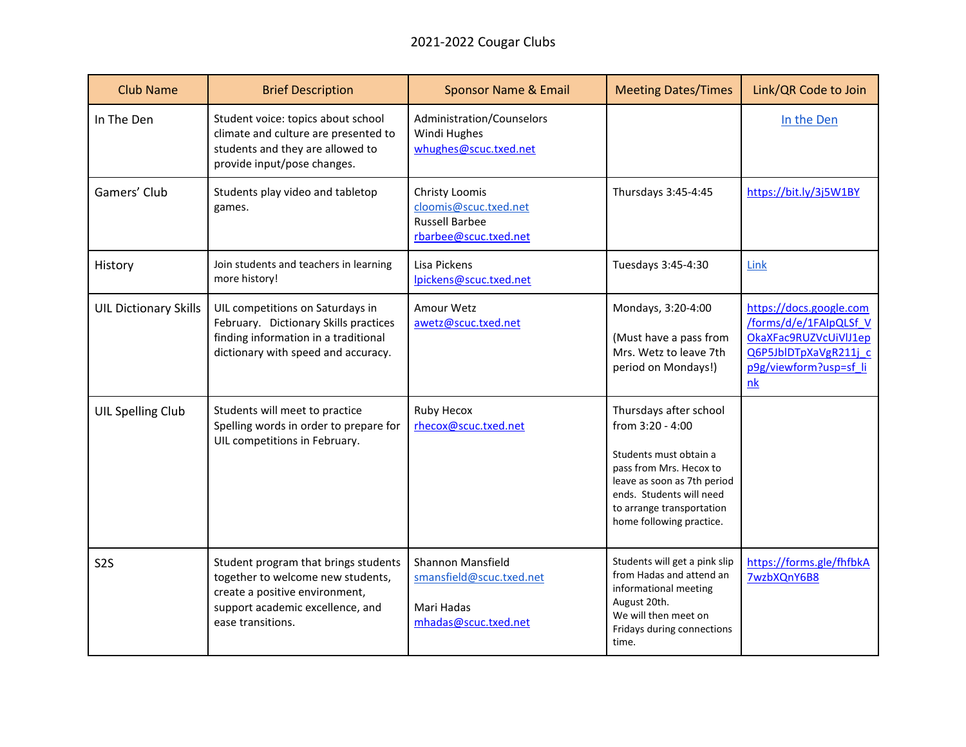| <b>Club Name</b>             | <b>Brief Description</b>                                                                                                                                             | <b>Sponsor Name &amp; Email</b>                                                           | <b>Meeting Dates/Times</b>                                                                                                                                                                                          | Link/QR Code to Join                                                                                                                |
|------------------------------|----------------------------------------------------------------------------------------------------------------------------------------------------------------------|-------------------------------------------------------------------------------------------|---------------------------------------------------------------------------------------------------------------------------------------------------------------------------------------------------------------------|-------------------------------------------------------------------------------------------------------------------------------------|
| In The Den                   | Student voice: topics about school<br>climate and culture are presented to<br>students and they are allowed to<br>provide input/pose changes.                        | Administration/Counselors<br>Windi Hughes<br>whughes@scuc.txed.net                        |                                                                                                                                                                                                                     | In the Den                                                                                                                          |
| Gamers' Club                 | Students play video and tabletop<br>games.                                                                                                                           | Christy Loomis<br>cloomis@scuc.txed.net<br><b>Russell Barbee</b><br>rbarbee@scuc.txed.net | Thursdays 3:45-4:45                                                                                                                                                                                                 | https://bit.ly/3j5W1BY                                                                                                              |
| History                      | Join students and teachers in learning<br>more history!                                                                                                              | Lisa Pickens<br>lpickens@scuc.txed.net                                                    | Tuesdays 3:45-4:30                                                                                                                                                                                                  | Link                                                                                                                                |
| <b>UIL Dictionary Skills</b> | UIL competitions on Saturdays in<br>February. Dictionary Skills practices<br>finding information in a traditional<br>dictionary with speed and accuracy.             | Amour Wetz<br>awetz@scuc.txed.net                                                         | Mondays, 3:20-4:00<br>(Must have a pass from<br>Mrs. Wetz to leave 7th<br>period on Mondays!)                                                                                                                       | https://docs.google.com<br>/forms/d/e/1FAIpQLSf V<br>OkaXFac9RUZVcUiVIJ1ep<br>Q6P5JblDTpXaVgR211j c<br>p9g/viewform?usp=sf li<br>nk |
| <b>UIL Spelling Club</b>     | Students will meet to practice<br>Spelling words in order to prepare for<br>UIL competitions in February.                                                            | Ruby Hecox<br>rhecox@scuc.txed.net                                                        | Thursdays after school<br>from 3:20 - 4:00<br>Students must obtain a<br>pass from Mrs. Hecox to<br>leave as soon as 7th period<br>ends. Students will need<br>to arrange transportation<br>home following practice. |                                                                                                                                     |
| S <sub>2</sub> S             | Student program that brings students<br>together to welcome new students,<br>create a positive environment,<br>support academic excellence, and<br>ease transitions. | Shannon Mansfield<br>smansfield@scuc.txed.net<br>Mari Hadas<br>mhadas@scuc.txed.net       | Students will get a pink slip<br>from Hadas and attend an<br>informational meeting<br>August 20th.<br>We will then meet on<br>Fridays during connections<br>time.                                                   | https://forms.gle/fhfbkA<br>7wzbXQnY6B8                                                                                             |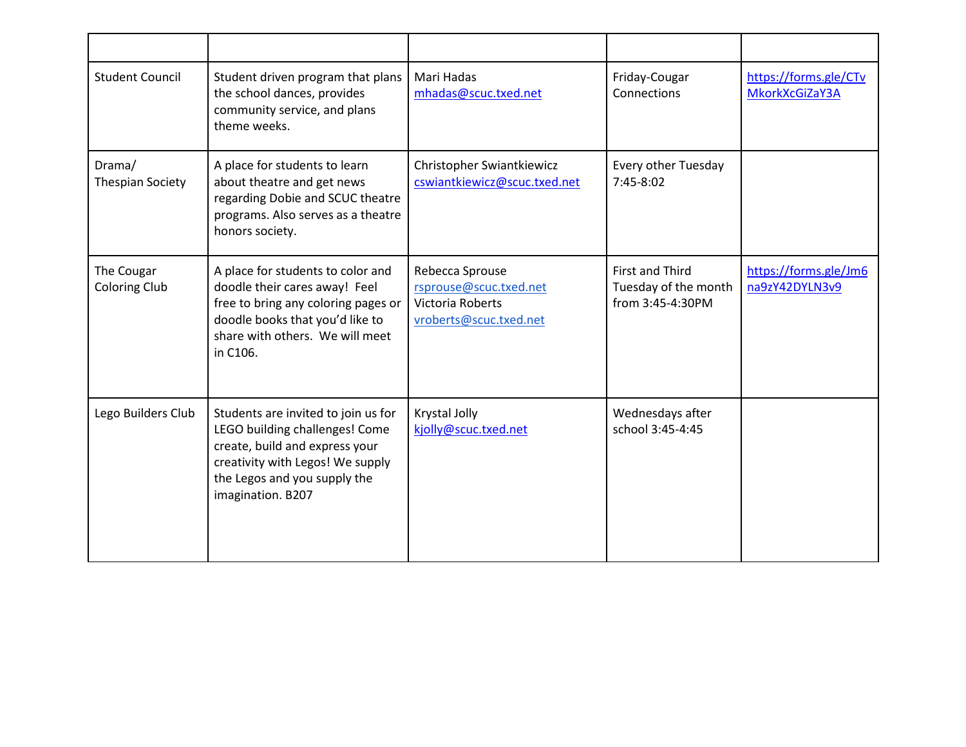| <b>Student Council</b>             | Student driven program that plans<br>the school dances, provides<br>community service, and plans<br>theme weeks.                                                                                 | Mari Hadas<br>mhadas@scuc.txed.net                                                      | Friday-Cougar<br>Connections                                       | https://forms.gle/CTv<br>MkorkXcGiZaY3A |
|------------------------------------|--------------------------------------------------------------------------------------------------------------------------------------------------------------------------------------------------|-----------------------------------------------------------------------------------------|--------------------------------------------------------------------|-----------------------------------------|
| Drama/<br><b>Thespian Society</b>  | A place for students to learn<br>about theatre and get news<br>regarding Dobie and SCUC theatre<br>programs. Also serves as a theatre<br>honors society.                                         | Christopher Swiantkiewicz<br>cswiantkiewicz@scuc.txed.net                               | Every other Tuesday<br>7:45-8:02                                   |                                         |
| The Cougar<br><b>Coloring Club</b> | A place for students to color and<br>doodle their cares away! Feel<br>free to bring any coloring pages or<br>doodle books that you'd like to<br>share with others. We will meet<br>in C106.      | Rebecca Sprouse<br>rsprouse@scuc.txed.net<br>Victoria Roberts<br>vroberts@scuc.txed.net | <b>First and Third</b><br>Tuesday of the month<br>from 3:45-4:30PM | https://forms.gle/Jm6<br>na9zY42DYLN3v9 |
| Lego Builders Club                 | Students are invited to join us for<br>LEGO building challenges! Come<br>create, build and express your<br>creativity with Legos! We supply<br>the Legos and you supply the<br>imagination. B207 | Krystal Jolly<br>kjolly@scuc.txed.net                                                   | Wednesdays after<br>school 3:45-4:45                               |                                         |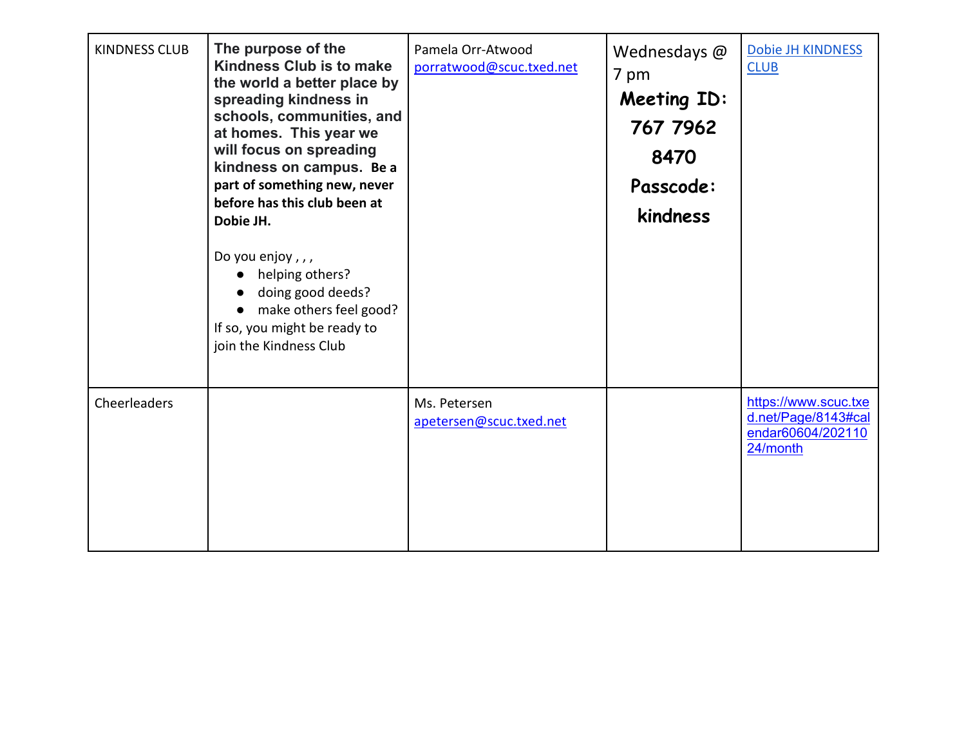| <b>KINDNESS CLUB</b> | The purpose of the<br>Kindness Club is to make<br>the world a better place by<br>spreading kindness in<br>schools, communities, and<br>at homes. This year we<br>will focus on spreading<br>kindness on campus. Be a<br>part of something new, never<br>before has this club been at<br>Dobie JH.<br>Do you enjoy,,,<br>helping others?<br>doing good deeds?<br>make others feel good?<br>If so, you might be ready to<br>join the Kindness Club | Pamela Orr-Atwood<br>porratwood@scuc.txed.net | Wednesdays @<br>7 pm<br><b>Meeting ID:</b><br>767 7962<br>8470<br>Passcode:<br>kindness | Dobie JH KINDNESS<br><b>CLUB</b>                                             |
|----------------------|--------------------------------------------------------------------------------------------------------------------------------------------------------------------------------------------------------------------------------------------------------------------------------------------------------------------------------------------------------------------------------------------------------------------------------------------------|-----------------------------------------------|-----------------------------------------------------------------------------------------|------------------------------------------------------------------------------|
| Cheerleaders         |                                                                                                                                                                                                                                                                                                                                                                                                                                                  | Ms. Petersen<br>apetersen@scuc.txed.net       |                                                                                         | https://www.scuc.txe<br>d.net/Page/8143#cal<br>endar60604/202110<br>24/month |